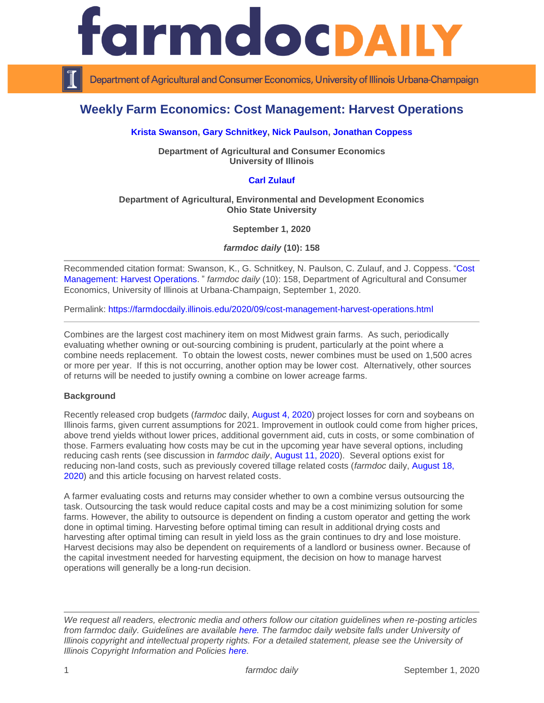

Department of Agricultural and Consumer Economics, University of Illinois Urbana-Champaign

# **Weekly Farm Economics: Cost Management: Harvest Operations**

## **[Krista Swanson,](https://ace.illinois.edu/directory/krista) [Gary Schnitkey,](https://ace.illinois.edu/directory/schnitke) [Nick Paulson,](https://ace.illinois.edu/directory/npaulson) [Jonathan Coppess](https://ace.illinois.edu/directory/jwcoppes)**

**Department of Agricultural and Consumer Economics University of Illinois**

# **[Carl Zulauf](http://aede.osu.edu/our-people/carl-zulauf)**

#### **Department of Agricultural, Environmental and Development Economics Ohio State University**

**September 1, 2020**

*farmdoc daily* **(10): 158**

Recommended citation format: Swanson, K., G. Schnitkey, N. Paulson, C. Zulauf, and J. Coppess. "Cost [Management: Harvest Operations](https://farmdocdaily.illinois.edu/2020/09/cost-management-harvest-operations.html)." *farmdoc daily* (10): 158, Department of Agricultural and Consumer Economics, University of Illinois at Urbana-Champaign, September 1, 2020.

Permalink:<https://farmdocdaily.illinois.edu/2020/09/cost-management-harvest-operations.html>

Combines are the largest cost machinery item on most Midwest grain farms. As such, periodically evaluating whether owning or out-sourcing combining is prudent, particularly at the point where a combine needs replacement. To obtain the lowest costs, newer combines must be used on 1,500 acres or more per year. If this is not occurring, another option may be lower cost. Alternatively, other sources of returns will be needed to justify owning a combine on lower acreage farms.

#### **Background**

Recently released crop budgets (*farmdoc* daily, [August 4, 2020\)](https://farmdocdaily.illinois.edu/2020/08/release-of-2021-crop-budgets.html) project losses for corn and soybeans on Illinois farms, given current assumptions for 2021. Improvement in outlook could come from higher prices, above trend yields without lower prices, additional government aid, cuts in costs, or some combination of those. Farmers evaluating how costs may be cut in the upcoming year have several options, including reducing cash rents (see discussion in *farmdoc daily*, August [11, 2020\)](https://farmdocdaily.illinois.edu/2020/08/cash-rents-in-2020-and-2021.html). Several options exist for reducing non-land costs, such as previously covered tillage related costs (*farmdoc* daily, [August 18,](https://farmdocdaily.illinois.edu/2020/08/cost-management-tillage-operations.html)  [2020\)](https://farmdocdaily.illinois.edu/2020/08/cost-management-tillage-operations.html) and this article focusing on harvest related costs.

A farmer evaluating costs and returns may consider whether to own a combine versus outsourcing the task. Outsourcing the task would reduce capital costs and may be a cost minimizing solution for some farms. However, the ability to outsource is dependent on finding a custom operator and getting the work done in optimal timing. Harvesting before optimal timing can result in additional drying costs and harvesting after optimal timing can result in yield loss as the grain continues to dry and lose moisture. Harvest decisions may also be dependent on requirements of a landlord or business owner. Because of the capital investment needed for harvesting equipment, the decision on how to manage harvest operations will generally be a long-run decision.

*We request all readers, electronic media and others follow our citation guidelines when re-posting articles from farmdoc daily. Guidelines are available [here.](http://farmdocdaily.illinois.edu/citationguide.html) The farmdoc daily website falls under University of Illinois copyright and intellectual property rights. For a detailed statement, please see the University of Illinois Copyright Information and Policies [here.](http://www.cio.illinois.edu/policies/copyright/)*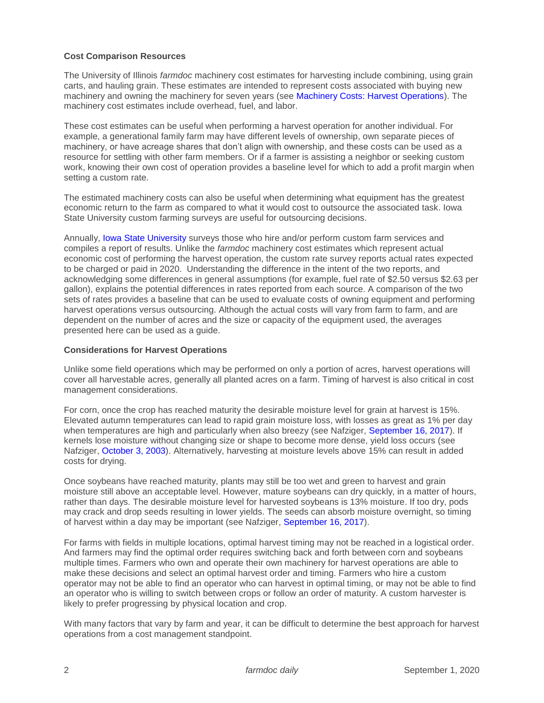### **Cost Comparison Resources**

The University of Illinois *farmdoc* machinery cost estimates for harvesting include combining, using grain carts, and hauling grain. These estimates are intended to represent costs associated with buying new machinery and owning the machinery for seven years (see [Machinery Costs: Harvest Operations\)](https://farmdoc.illinois.edu/handbook/harvest-operations). The machinery cost estimates include overhead, fuel, and labor.

These cost estimates can be useful when performing a harvest operation for another individual. For example, a generational family farm may have different levels of ownership, own separate pieces of machinery, or have acreage shares that don't align with ownership, and these costs can be used as a resource for settling with other farm members. Or if a farmer is assisting a neighbor or seeking custom work, knowing their own cost of operation provides a baseline level for which to add a profit margin when setting a custom rate.

The estimated machinery costs can also be useful when determining what equipment has the greatest economic return to the farm as compared to what it would cost to outsource the associated task. Iowa State University custom farming surveys are useful for outsourcing decisions.

Annually, [Iowa State University](https://www.google.com/url?sa=t&rct=j&q=&esrc=s&source=web&cd=&ved=2ahUKEwi93-Ct8YHrAhUaCM0KHdZWC1UQFjAFegQIBhAB&url=https%3A%2F%2Fstore.extension.iastate.edu%2FProduct%2Ffm1698-pdf&usg=AOvVaw3rbLrKzFI_iAnDZQBHUTFt) surveys those who hire and/or perform custom farm services and compiles a report of results. Unlike the *farmdoc* machinery cost estimates which represent actual economic cost of performing the harvest operation, the custom rate survey reports actual rates expected to be charged or paid in 2020. Understanding the difference in the intent of the two reports, and acknowledging some differences in general assumptions (for example, fuel rate of \$2.50 versus \$2.63 per gallon), explains the potential differences in rates reported from each source. A comparison of the two sets of rates provides a baseline that can be used to evaluate costs of owning equipment and performing harvest operations versus outsourcing. Although the actual costs will vary from farm to farm, and are dependent on the number of acres and the size or capacity of the equipment used, the averages presented here can be used as a guide.

#### **Considerations for Harvest Operations**

Unlike some field operations which may be performed on only a portion of acres, harvest operations will cover all harvestable acres, generally all planted acres on a farm. Timing of harvest is also critical in cost management considerations.

For corn, once the crop has reached maturity the desirable moisture level for grain at harvest is 15%. Elevated autumn temperatures can lead to rapid grain moisture loss, with losses as great as 1% per day when temperatures are high and particularly when also breezy (see Nafziger, [September 16, 2017\)](https://farmdoc.illinois.edu/field-crop-production/crop_production/issues-as-harvest-approaches.html). If kernels lose moisture without changing size or shape to become more dense, yield loss occurs (see Nafziger, [October 3, 2003\)](http://bulletin.ipm.illinois.edu/pastpest/articles/200323h.html). Alternatively, harvesting at moisture levels above 15% can result in added costs for drying.

Once soybeans have reached maturity, plants may still be too wet and green to harvest and grain moisture still above an acceptable level. However, mature soybeans can dry quickly, in a matter of hours, rather than days. The desirable moisture level for harvested soybeans is 13% moisture. If too dry, pods may crack and drop seeds resulting in lower yields. The seeds can absorb moisture overnight, so timing of harvest within a day may be important (see Nafziger, [September 16, 2017\)](https://farmdoc.illinois.edu/field-crop-production/crop_production/issues-as-harvest-approaches.html).

For farms with fields in multiple locations, optimal harvest timing may not be reached in a logistical order. And farmers may find the optimal order requires switching back and forth between corn and soybeans multiple times. Farmers who own and operate their own machinery for harvest operations are able to make these decisions and select an optimal harvest order and timing. Farmers who hire a custom operator may not be able to find an operator who can harvest in optimal timing, or may not be able to find an operator who is willing to switch between crops or follow an order of maturity. A custom harvester is likely to prefer progressing by physical location and crop.

With many factors that vary by farm and year, it can be difficult to determine the best approach for harvest operations from a cost management standpoint.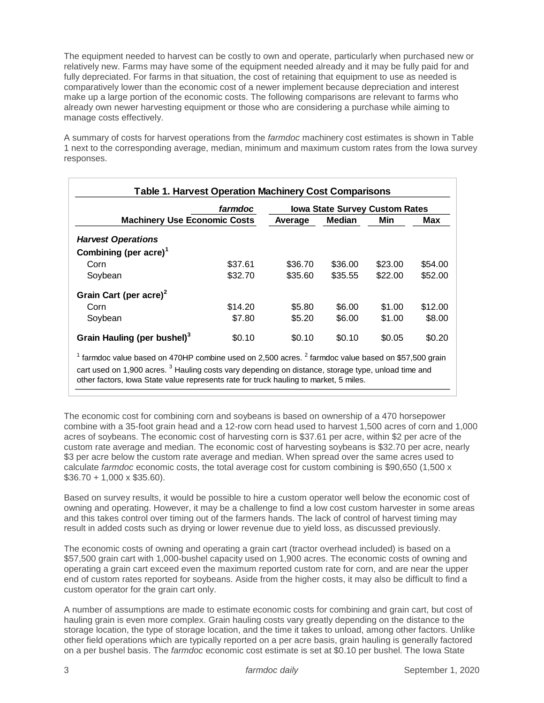The equipment needed to harvest can be costly to own and operate, particularly when purchased new or relatively new. Farms may have some of the equipment needed already and it may be fully paid for and fully depreciated. For farms in that situation, the cost of retaining that equipment to use as needed is comparatively lower than the economic cost of a newer implement because depreciation and interest make up a large portion of the economic costs. The following comparisons are relevant to farms who already own newer harvesting equipment or those who are considering a purchase while aiming to manage costs effectively.

A summary of costs for harvest operations from the *farmdoc* machinery cost estimates is shown in Table 1 next to the corresponding average, median, minimum and maximum custom rates from the Iowa survey responses.

|                                                                                                                                                                                                                                                                                                                                                                                                                                                                             | farmdoc | <b>Iowa State Survey Custom Rates</b> |               |         |         |  |
|-----------------------------------------------------------------------------------------------------------------------------------------------------------------------------------------------------------------------------------------------------------------------------------------------------------------------------------------------------------------------------------------------------------------------------------------------------------------------------|---------|---------------------------------------|---------------|---------|---------|--|
| <b>Machinery Use Economic Costs</b>                                                                                                                                                                                                                                                                                                                                                                                                                                         |         | Average                               | <b>Median</b> | Min     | Max     |  |
| <b>Harvest Operations</b>                                                                                                                                                                                                                                                                                                                                                                                                                                                   |         |                                       |               |         |         |  |
| Combining (per $\arccos 1$                                                                                                                                                                                                                                                                                                                                                                                                                                                  |         |                                       |               |         |         |  |
| Corn                                                                                                                                                                                                                                                                                                                                                                                                                                                                        | \$37.61 | \$36.70                               | \$36.00       | \$23.00 | \$54.00 |  |
| Soybean                                                                                                                                                                                                                                                                                                                                                                                                                                                                     | \$32.70 | \$35.60                               | \$35.55       | \$22.00 | \$52.00 |  |
| Grain Cart (per acre) <sup>2</sup>                                                                                                                                                                                                                                                                                                                                                                                                                                          |         |                                       |               |         |         |  |
| Corn                                                                                                                                                                                                                                                                                                                                                                                                                                                                        | \$14.20 | \$5.80                                | \$6.00        | \$1.00  | \$12.00 |  |
| Soybean                                                                                                                                                                                                                                                                                                                                                                                                                                                                     | \$7.80  | \$5.20                                | \$6.00        | \$1.00  | \$8.00  |  |
| Grain Hauling (per bushel) <sup>3</sup>                                                                                                                                                                                                                                                                                                                                                                                                                                     | \$0.10  | \$0.10                                | \$0.10        | \$0.05  | \$0.20  |  |
| <sup>1</sup> farmdoc value based on 470HP combine used on 2,500 acres. $^2$ farmdoc value based on \$57,500 grain                                                                                                                                                                                                                                                                                                                                                           |         |                                       |               |         |         |  |
|                                                                                                                                                                                                                                                                                                                                                                                                                                                                             |         |                                       |               |         |         |  |
| cart used on 1,900 acres. <sup>3</sup> Hauling costs vary depending on distance, storage type, unload time and                                                                                                                                                                                                                                                                                                                                                              |         |                                       |               |         |         |  |
| other factors, lowa State value represents rate for truck hauling to market, 5 miles.                                                                                                                                                                                                                                                                                                                                                                                       |         |                                       |               |         |         |  |
| custom rate average and median. The economic cost of harvesting soybeans is \$32.70 per acre, nearly<br>\$3 per acre below the custom rate average and median. When spread over the same acres used to<br>calculate farmdoc economic costs, the total average cost for custom combining is \$90,650 (1,500 x<br>$$36.70 + 1,000 \times $35.60$ ).<br>Based on survey results, it would be possible to hire a custom operator well below the economic cost o                 |         |                                       |               |         |         |  |
|                                                                                                                                                                                                                                                                                                                                                                                                                                                                             |         |                                       |               |         |         |  |
| owning and operating. However, it may be a challenge to find a low cost custom harvester in some are<br>and this takes control over timing out of the farmers hands. The lack of control of harvest timing may<br>result in added costs such as drying or lower revenue due to yield loss, as discussed previously.                                                                                                                                                         |         |                                       |               |         |         |  |
| The economic costs of owning and operating a grain cart (tractor overhead included) is based on a<br>\$57,500 grain cart with 1,000-bushel capacity used on 1,900 acres. The economic costs of owning and<br>operating a grain cart exceed even the maximum reported custom rate for corn, and are near the upper<br>end of custom rates reported for soybeans. Aside from the higher costs, it may also be difficult to find a<br>custom operator for the grain cart only. |         |                                       |               |         |         |  |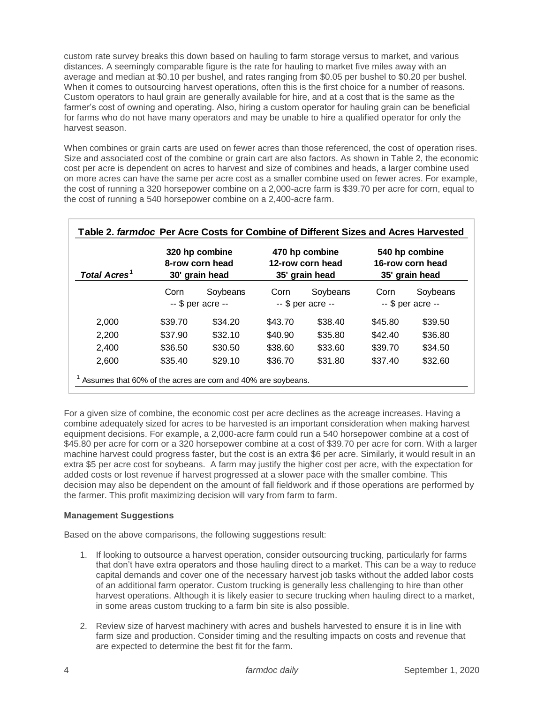custom rate survey breaks this down based on hauling to farm storage versus to market, and various distances. A seemingly comparable figure is the rate for hauling to market five miles away with an average and median at \$0.10 per bushel, and rates ranging from \$0.05 per bushel to \$0.20 per bushel. When it comes to outsourcing harvest operations, often this is the first choice for a number of reasons. Custom operators to haul grain are generally available for hire, and at a cost that is the same as the farmer's cost of owning and operating. Also, hiring a custom operator for hauling grain can be beneficial for farms who do not have many operators and may be unable to hire a qualified operator for only the harvest season.

When combines or grain carts are used on fewer acres than those referenced, the cost of operation rises. Size and associated cost of the combine or grain cart are also factors. As shown in Table 2, the economic cost per acre is dependent on acres to harvest and size of combines and heads, a larger combine used on more acres can have the same per acre cost as a smaller combine used on fewer acres. For example, the cost of running a 320 horsepower combine on a 2,000-acre farm is \$39.70 per acre for corn, equal to the cost of running a 540 horsepower combine on a 2,400-acre farm.

| <b>Total Acres<sup>1</sup></b> | 320 hp combine<br>8-row corn head<br>30' grain head |          | 470 hp combine<br>12-row corn head<br>35' grain head |          | 540 hp combine<br>16-row corn head<br>35' grain head |          |
|--------------------------------|-----------------------------------------------------|----------|------------------------------------------------------|----------|------------------------------------------------------|----------|
|                                | Corn                                                | Soybeans | Corn                                                 | Soybeans | Corn                                                 | Soybeans |
|                                | -- \$ per acre --                                   |          | -- \$ per acre --                                    |          | -- \$ per acre --                                    |          |
| 2,000                          | \$39.70                                             | \$34.20  | \$43.70                                              | \$38.40  | \$45.80                                              | \$39.50  |
| 2,200                          | \$37.90                                             | \$32.10  | \$40.90                                              | \$35.80  | \$42.40                                              | \$36.80  |
| 2,400                          | \$36.50                                             | \$30.50  | \$38.60                                              | \$33.60  | \$39.70                                              | \$34.50  |
| 2,600                          | \$35.40                                             | \$29.10  | \$36.70                                              | \$31.80  | \$37.40                                              | \$32.60  |

For a given size of combine, the economic cost per acre declines as the acreage increases. Having a combine adequately sized for acres to be harvested is an important consideration when making harvest equipment decisions. For example, a 2,000-acre farm could run a 540 horsepower combine at a cost of \$45.80 per acre for corn or a 320 horsepower combine at a cost of \$39.70 per acre for corn. With a larger machine harvest could progress faster, but the cost is an extra \$6 per acre. Similarly, it would result in an extra \$5 per acre cost for soybeans. A farm may justify the higher cost per acre, with the expectation for added costs or lost revenue if harvest progressed at a slower pace with the smaller combine. This decision may also be dependent on the amount of fall fieldwork and if those operations are performed by the farmer. This profit maximizing decision will vary from farm to farm.

# **Management Suggestions**

Based on the above comparisons, the following suggestions result:

- 1. If looking to outsource a harvest operation, consider outsourcing trucking, particularly for farms that don't have extra operators and those hauling direct to a market. This can be a way to reduce capital demands and cover one of the necessary harvest job tasks without the added labor costs of an additional farm operator. Custom trucking is generally less challenging to hire than other harvest operations. Although it is likely easier to secure trucking when hauling direct to a market, in some areas custom trucking to a farm bin site is also possible.
- 2. Review size of harvest machinery with acres and bushels harvested to ensure it is in line with farm size and production. Consider timing and the resulting impacts on costs and revenue that are expected to determine the best fit for the farm.